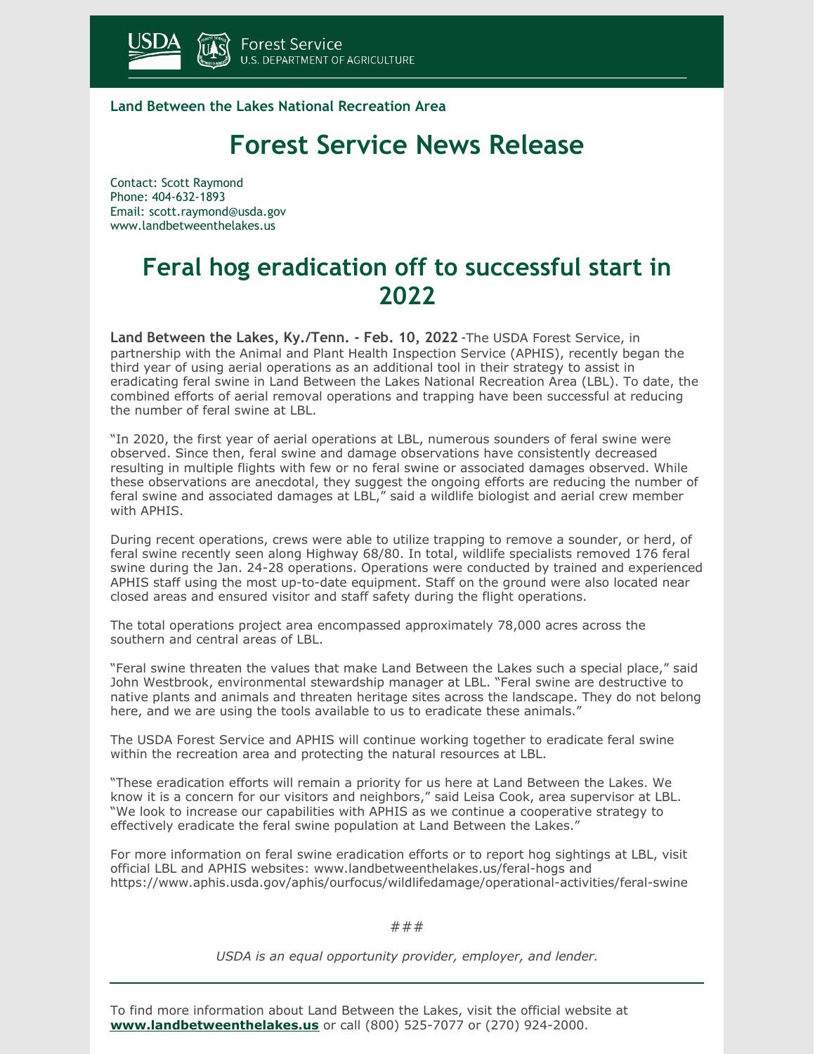

**Land Between the Lakes National Recreation Area**

## **Forest Service News Release**

Contact: Scott Raymond Phone: 404-632-1893 Email: [scott.raymond@usda.gov](mailto:scott.raymond@usda.gov) [www.landbetweenthelakes.us](https://www.landbetweenthelakes.us/)

## **Feral hog eradication off to successful start in 2022**

**Land Between the Lakes, Ky./Tenn. - Feb. 10, 2022** -The USDA Forest Service, in partnership with the Animal and Plant Health Inspection Service (APHIS), recently began the third year of using aerial operations as an additional tool in their strategy to assist in eradicating feral swine in Land Between the Lakes National Recreation Area (LBL). To date, the combined efforts of aerial removal operations and trapping have been successful at reducing the number of feral swine at LBL.

"In 2020, the first year of aerial operations at LBL, numerous sounders of feral swine were observed. Since then, feral swine and damage observations have consistently decreased resulting in multiple flights with few or no feral swine or associated damages observed. While these observations are anecdotal, they suggest the ongoing efforts are reducing the number of feral swine and associated damages at LBL," said a wildlife biologist and aerial crew member with APHIS.

During recent operations, crews were able to utilize trapping to remove a sounder, or herd, of feral swine recently seen along Highway 68/80. In total, wildlife specialists removed 176 feral swine during the Jan. 24-28 operations. Operations were conducted by trained and experienced APHIS staff using the most up-to-date equipment. Staff on the ground were also located near closed areas and ensured visitor and staff safety during the flight operations.

The total operations project area encompassed approximately 78,000 acres across the southern and central areas of LBL.

"Feral swine threaten the values that make Land Between the Lakes such a special place," said John Westbrook, environmental stewardship manager at LBL. "Feral swine are destructive to native plants and animals and threaten heritage sites across the landscape. They do not belong here, and we are using the tools available to us to eradicate these animals."

The USDA Forest Service and APHIS will continue working together to eradicate feral swine within the recreation area and protecting the natural resources at LBL.

"These eradication efforts will remain a priority for us here at Land Between the Lakes. We know it is a concern for our visitors and neighbors," said Leisa Cook, area supervisor at LBL. "We look to increase our capabilities with APHIS as we continue a cooperative strategy to effectively eradicate the feral swine population at Land Between the Lakes."

For more information on feral swine eradication efforts or to report hog sightings at LBL, visit official LBL and APHIS websites: www.landbetweenthelakes.us/feral-hogs and https://www.aphis.usda.gov/aphis/ourfocus/wildlifedamage/operational-activities/feral-swine

###

*USDA is an equal opportunity provider, employer, and lender.*

To find more information about Land Between the Lakes, visit the official website at **[www.landbetweenthelakes.us](https://www.landbetweenthelakes.us/)** or call (800) 525-7077 or (270) 924-2000.